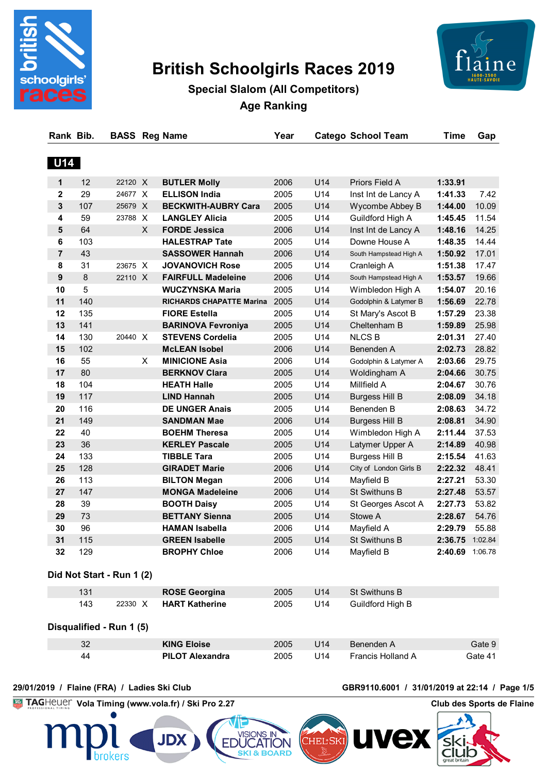

# **British Schoolgirls Races 2019**



**Special Slalom (All Competitors) Age Ranking**

| <b>U14</b><br>U14<br>12<br>22120 X<br><b>BUTLER Molly</b><br>2006<br>Priors Field A<br>1:33.91<br>1<br>U14<br>29<br>24677 X<br><b>ELLISON India</b><br>2005<br>1:41.33<br>$\mathbf{2}$<br>Inst Int de Lancy A<br>3<br>107<br>25679 X<br><b>BECKWITH-AUBRY Cara</b><br>2005<br>U14<br>1:44.00<br>Wycombe Abbey B<br>59<br>2005<br>U14<br>Guildford High A<br>23788 X<br><b>LANGLEY Alicia</b><br>1:45.45<br>4<br>5<br>64<br>X<br>2006<br>U14<br>1:48.16<br><b>FORDE Jessica</b><br>Inst Int de Lancy A<br>103<br>U14<br>6<br><b>HALESTRAP Tate</b><br>2005<br>Downe House A<br>1:48.35<br>43<br>U14<br>7<br><b>SASSOWER Hannah</b><br>2006<br>South Hampstead High A<br>1:50.92<br>8<br>31<br>23675 X<br><b>JOVANOVICH Rose</b><br>U14<br>2005<br>1:51.38<br>Cranleigh A<br>$\bf 8$<br>9<br>22110 X<br><b>FAIRFULL Madeleine</b><br>2006<br>U14<br>1:53.57<br>South Hampstead High A<br>5<br><b>WUCZYNSKA Maria</b><br>2005<br>U14<br>10<br>Wimbledon High A<br>1:54.07<br>11<br>140<br>U14<br>2005<br>Godolphin & Latymer B<br>1:56.69<br>RICHARDS CHAPATTE Marina<br>135<br>12<br><b>FIORE Estella</b><br>2005<br>U14<br>1:57.29<br>St Mary's Ascot B<br>13<br>141<br>U14<br><b>BARINOVA Fevroniya</b><br>2005<br>Cheltenham B<br>1:59.89<br>14<br>130<br>20440 X<br>2005<br>U14<br><b>NLCS B</b><br><b>STEVENS Cordelia</b><br>2:01.31<br>15<br>102<br><b>McLEAN Isobel</b><br>2006<br>U14<br>2:02.73<br>Benenden A<br>55<br>2006<br>U14<br>16<br>X<br><b>MINICIONE Asia</b><br>Godolphin & Latymer A<br>2:03.66<br>80<br>U14<br>17<br><b>BERKNOV Clara</b><br>2005<br>2:04.66<br>Woldingham A<br>U14<br>Millfield A<br>18<br>104<br><b>HEATH Halle</b><br>2005<br>2:04.67<br>117<br>U14<br>19<br><b>LIND Hannah</b><br>2005<br>2:08.09<br><b>Burgess Hill B</b><br>U14<br>20<br>116<br><b>DE UNGER Anais</b><br>2005<br>Benenden B<br>2:08.63<br>U14<br>21<br>149<br><b>SANDMAN Mae</b><br>2006<br>2:08.81<br><b>Burgess Hill B</b><br>40<br>U14<br>22<br><b>BOEHM Theresa</b><br>2005<br>Wimbledon High A<br>2:11.44<br>23<br>36<br>U14<br><b>KERLEY Pascale</b><br>2005<br>Latymer Upper A<br>2:14.89<br>133<br><b>TIBBLE Tara</b><br>U14<br>24<br>2005<br><b>Burgess Hill B</b><br>2:15.54<br>128<br>U14<br>25<br><b>GIRADET Marie</b><br>2006<br>City of London Girls B<br>2:22.32<br>113<br>2006<br>U14<br>26<br><b>BILTON Megan</b><br>Mayfield B<br>2:27.21<br>147<br>U14<br>27<br><b>MONGA Madeleine</b><br>2006<br><b>St Swithuns B</b><br>2:27.48<br>39<br>U14<br>28<br><b>BOOTH Daisy</b><br>2005<br>2:27.73<br>St Georges Ascot A<br>29<br>73<br><b>BETTANY Sienna</b><br>2005<br>U14<br>Stowe A<br>2:28.67<br>96<br>30<br>U14<br>Mayfield A<br><b>HAMAN Isabella</b><br>2006<br>2:29.79<br>31<br>115<br><b>GREEN Isabelle</b><br>U14<br><b>St Swithuns B</b><br>2:36.75<br>2005<br>32<br>129<br><b>BROPHY Chloe</b><br>2006<br>U14<br>Mayfield B<br>2:40.69 1:06.78<br>Did Not Start - Run 1 (2)<br>131<br>St Swithuns B<br><b>ROSE Georgina</b><br>2005<br>U14<br>143<br><b>HART Katherine</b><br>2005<br>U14<br>Guildford High B<br>22330 X<br>Disqualified - Run 1 (5)<br>32<br><b>KING Eloise</b><br>U14<br>Benenden A<br>2005<br><b>PILOT Alexandra</b><br>U14<br>Francis Holland A<br>44<br>2005 | Rank Bib. |  | <b>BASS Reg Name</b> | Year | <b>Catego School Team</b> | <b>Time</b> | Gap     |
|------------------------------------------------------------------------------------------------------------------------------------------------------------------------------------------------------------------------------------------------------------------------------------------------------------------------------------------------------------------------------------------------------------------------------------------------------------------------------------------------------------------------------------------------------------------------------------------------------------------------------------------------------------------------------------------------------------------------------------------------------------------------------------------------------------------------------------------------------------------------------------------------------------------------------------------------------------------------------------------------------------------------------------------------------------------------------------------------------------------------------------------------------------------------------------------------------------------------------------------------------------------------------------------------------------------------------------------------------------------------------------------------------------------------------------------------------------------------------------------------------------------------------------------------------------------------------------------------------------------------------------------------------------------------------------------------------------------------------------------------------------------------------------------------------------------------------------------------------------------------------------------------------------------------------------------------------------------------------------------------------------------------------------------------------------------------------------------------------------------------------------------------------------------------------------------------------------------------------------------------------------------------------------------------------------------------------------------------------------------------------------------------------------------------------------------------------------------------------------------------------------------------------------------------------------------------------------------------------------------------------------------------------------------------------------------------------------------------------------------------------------------------------------------------------------------------------------------------------------------------------------------------------------------------------------------------------------------------------------------------------------------------------------------------------------------------------------------------------------------------------------------------------------------------------------------------------------------------|-----------|--|----------------------|------|---------------------------|-------------|---------|
|                                                                                                                                                                                                                                                                                                                                                                                                                                                                                                                                                                                                                                                                                                                                                                                                                                                                                                                                                                                                                                                                                                                                                                                                                                                                                                                                                                                                                                                                                                                                                                                                                                                                                                                                                                                                                                                                                                                                                                                                                                                                                                                                                                                                                                                                                                                                                                                                                                                                                                                                                                                                                                                                                                                                                                                                                                                                                                                                                                                                                                                                                                                                                                                                                        |           |  |                      |      |                           |             |         |
|                                                                                                                                                                                                                                                                                                                                                                                                                                                                                                                                                                                                                                                                                                                                                                                                                                                                                                                                                                                                                                                                                                                                                                                                                                                                                                                                                                                                                                                                                                                                                                                                                                                                                                                                                                                                                                                                                                                                                                                                                                                                                                                                                                                                                                                                                                                                                                                                                                                                                                                                                                                                                                                                                                                                                                                                                                                                                                                                                                                                                                                                                                                                                                                                                        |           |  |                      |      |                           |             |         |
|                                                                                                                                                                                                                                                                                                                                                                                                                                                                                                                                                                                                                                                                                                                                                                                                                                                                                                                                                                                                                                                                                                                                                                                                                                                                                                                                                                                                                                                                                                                                                                                                                                                                                                                                                                                                                                                                                                                                                                                                                                                                                                                                                                                                                                                                                                                                                                                                                                                                                                                                                                                                                                                                                                                                                                                                                                                                                                                                                                                                                                                                                                                                                                                                                        |           |  |                      |      |                           |             | 7.42    |
|                                                                                                                                                                                                                                                                                                                                                                                                                                                                                                                                                                                                                                                                                                                                                                                                                                                                                                                                                                                                                                                                                                                                                                                                                                                                                                                                                                                                                                                                                                                                                                                                                                                                                                                                                                                                                                                                                                                                                                                                                                                                                                                                                                                                                                                                                                                                                                                                                                                                                                                                                                                                                                                                                                                                                                                                                                                                                                                                                                                                                                                                                                                                                                                                                        |           |  |                      |      |                           |             | 10.09   |
|                                                                                                                                                                                                                                                                                                                                                                                                                                                                                                                                                                                                                                                                                                                                                                                                                                                                                                                                                                                                                                                                                                                                                                                                                                                                                                                                                                                                                                                                                                                                                                                                                                                                                                                                                                                                                                                                                                                                                                                                                                                                                                                                                                                                                                                                                                                                                                                                                                                                                                                                                                                                                                                                                                                                                                                                                                                                                                                                                                                                                                                                                                                                                                                                                        |           |  |                      |      |                           |             | 11.54   |
|                                                                                                                                                                                                                                                                                                                                                                                                                                                                                                                                                                                                                                                                                                                                                                                                                                                                                                                                                                                                                                                                                                                                                                                                                                                                                                                                                                                                                                                                                                                                                                                                                                                                                                                                                                                                                                                                                                                                                                                                                                                                                                                                                                                                                                                                                                                                                                                                                                                                                                                                                                                                                                                                                                                                                                                                                                                                                                                                                                                                                                                                                                                                                                                                                        |           |  |                      |      |                           |             | 14.25   |
|                                                                                                                                                                                                                                                                                                                                                                                                                                                                                                                                                                                                                                                                                                                                                                                                                                                                                                                                                                                                                                                                                                                                                                                                                                                                                                                                                                                                                                                                                                                                                                                                                                                                                                                                                                                                                                                                                                                                                                                                                                                                                                                                                                                                                                                                                                                                                                                                                                                                                                                                                                                                                                                                                                                                                                                                                                                                                                                                                                                                                                                                                                                                                                                                                        |           |  |                      |      |                           |             | 14.44   |
|                                                                                                                                                                                                                                                                                                                                                                                                                                                                                                                                                                                                                                                                                                                                                                                                                                                                                                                                                                                                                                                                                                                                                                                                                                                                                                                                                                                                                                                                                                                                                                                                                                                                                                                                                                                                                                                                                                                                                                                                                                                                                                                                                                                                                                                                                                                                                                                                                                                                                                                                                                                                                                                                                                                                                                                                                                                                                                                                                                                                                                                                                                                                                                                                                        |           |  |                      |      |                           |             | 17.01   |
|                                                                                                                                                                                                                                                                                                                                                                                                                                                                                                                                                                                                                                                                                                                                                                                                                                                                                                                                                                                                                                                                                                                                                                                                                                                                                                                                                                                                                                                                                                                                                                                                                                                                                                                                                                                                                                                                                                                                                                                                                                                                                                                                                                                                                                                                                                                                                                                                                                                                                                                                                                                                                                                                                                                                                                                                                                                                                                                                                                                                                                                                                                                                                                                                                        |           |  |                      |      |                           |             | 17.47   |
|                                                                                                                                                                                                                                                                                                                                                                                                                                                                                                                                                                                                                                                                                                                                                                                                                                                                                                                                                                                                                                                                                                                                                                                                                                                                                                                                                                                                                                                                                                                                                                                                                                                                                                                                                                                                                                                                                                                                                                                                                                                                                                                                                                                                                                                                                                                                                                                                                                                                                                                                                                                                                                                                                                                                                                                                                                                                                                                                                                                                                                                                                                                                                                                                                        |           |  |                      |      |                           |             | 19.66   |
|                                                                                                                                                                                                                                                                                                                                                                                                                                                                                                                                                                                                                                                                                                                                                                                                                                                                                                                                                                                                                                                                                                                                                                                                                                                                                                                                                                                                                                                                                                                                                                                                                                                                                                                                                                                                                                                                                                                                                                                                                                                                                                                                                                                                                                                                                                                                                                                                                                                                                                                                                                                                                                                                                                                                                                                                                                                                                                                                                                                                                                                                                                                                                                                                                        |           |  |                      |      |                           |             | 20.16   |
|                                                                                                                                                                                                                                                                                                                                                                                                                                                                                                                                                                                                                                                                                                                                                                                                                                                                                                                                                                                                                                                                                                                                                                                                                                                                                                                                                                                                                                                                                                                                                                                                                                                                                                                                                                                                                                                                                                                                                                                                                                                                                                                                                                                                                                                                                                                                                                                                                                                                                                                                                                                                                                                                                                                                                                                                                                                                                                                                                                                                                                                                                                                                                                                                                        |           |  |                      |      |                           |             | 22.78   |
|                                                                                                                                                                                                                                                                                                                                                                                                                                                                                                                                                                                                                                                                                                                                                                                                                                                                                                                                                                                                                                                                                                                                                                                                                                                                                                                                                                                                                                                                                                                                                                                                                                                                                                                                                                                                                                                                                                                                                                                                                                                                                                                                                                                                                                                                                                                                                                                                                                                                                                                                                                                                                                                                                                                                                                                                                                                                                                                                                                                                                                                                                                                                                                                                                        |           |  |                      |      |                           |             | 23.38   |
|                                                                                                                                                                                                                                                                                                                                                                                                                                                                                                                                                                                                                                                                                                                                                                                                                                                                                                                                                                                                                                                                                                                                                                                                                                                                                                                                                                                                                                                                                                                                                                                                                                                                                                                                                                                                                                                                                                                                                                                                                                                                                                                                                                                                                                                                                                                                                                                                                                                                                                                                                                                                                                                                                                                                                                                                                                                                                                                                                                                                                                                                                                                                                                                                                        |           |  |                      |      |                           |             | 25.98   |
|                                                                                                                                                                                                                                                                                                                                                                                                                                                                                                                                                                                                                                                                                                                                                                                                                                                                                                                                                                                                                                                                                                                                                                                                                                                                                                                                                                                                                                                                                                                                                                                                                                                                                                                                                                                                                                                                                                                                                                                                                                                                                                                                                                                                                                                                                                                                                                                                                                                                                                                                                                                                                                                                                                                                                                                                                                                                                                                                                                                                                                                                                                                                                                                                                        |           |  |                      |      |                           |             | 27.40   |
|                                                                                                                                                                                                                                                                                                                                                                                                                                                                                                                                                                                                                                                                                                                                                                                                                                                                                                                                                                                                                                                                                                                                                                                                                                                                                                                                                                                                                                                                                                                                                                                                                                                                                                                                                                                                                                                                                                                                                                                                                                                                                                                                                                                                                                                                                                                                                                                                                                                                                                                                                                                                                                                                                                                                                                                                                                                                                                                                                                                                                                                                                                                                                                                                                        |           |  |                      |      |                           |             | 28.82   |
|                                                                                                                                                                                                                                                                                                                                                                                                                                                                                                                                                                                                                                                                                                                                                                                                                                                                                                                                                                                                                                                                                                                                                                                                                                                                                                                                                                                                                                                                                                                                                                                                                                                                                                                                                                                                                                                                                                                                                                                                                                                                                                                                                                                                                                                                                                                                                                                                                                                                                                                                                                                                                                                                                                                                                                                                                                                                                                                                                                                                                                                                                                                                                                                                                        |           |  |                      |      |                           |             | 29.75   |
|                                                                                                                                                                                                                                                                                                                                                                                                                                                                                                                                                                                                                                                                                                                                                                                                                                                                                                                                                                                                                                                                                                                                                                                                                                                                                                                                                                                                                                                                                                                                                                                                                                                                                                                                                                                                                                                                                                                                                                                                                                                                                                                                                                                                                                                                                                                                                                                                                                                                                                                                                                                                                                                                                                                                                                                                                                                                                                                                                                                                                                                                                                                                                                                                                        |           |  |                      |      |                           |             | 30.75   |
|                                                                                                                                                                                                                                                                                                                                                                                                                                                                                                                                                                                                                                                                                                                                                                                                                                                                                                                                                                                                                                                                                                                                                                                                                                                                                                                                                                                                                                                                                                                                                                                                                                                                                                                                                                                                                                                                                                                                                                                                                                                                                                                                                                                                                                                                                                                                                                                                                                                                                                                                                                                                                                                                                                                                                                                                                                                                                                                                                                                                                                                                                                                                                                                                                        |           |  |                      |      |                           |             | 30.76   |
|                                                                                                                                                                                                                                                                                                                                                                                                                                                                                                                                                                                                                                                                                                                                                                                                                                                                                                                                                                                                                                                                                                                                                                                                                                                                                                                                                                                                                                                                                                                                                                                                                                                                                                                                                                                                                                                                                                                                                                                                                                                                                                                                                                                                                                                                                                                                                                                                                                                                                                                                                                                                                                                                                                                                                                                                                                                                                                                                                                                                                                                                                                                                                                                                                        |           |  |                      |      |                           |             | 34.18   |
|                                                                                                                                                                                                                                                                                                                                                                                                                                                                                                                                                                                                                                                                                                                                                                                                                                                                                                                                                                                                                                                                                                                                                                                                                                                                                                                                                                                                                                                                                                                                                                                                                                                                                                                                                                                                                                                                                                                                                                                                                                                                                                                                                                                                                                                                                                                                                                                                                                                                                                                                                                                                                                                                                                                                                                                                                                                                                                                                                                                                                                                                                                                                                                                                                        |           |  |                      |      |                           |             | 34.72   |
|                                                                                                                                                                                                                                                                                                                                                                                                                                                                                                                                                                                                                                                                                                                                                                                                                                                                                                                                                                                                                                                                                                                                                                                                                                                                                                                                                                                                                                                                                                                                                                                                                                                                                                                                                                                                                                                                                                                                                                                                                                                                                                                                                                                                                                                                                                                                                                                                                                                                                                                                                                                                                                                                                                                                                                                                                                                                                                                                                                                                                                                                                                                                                                                                                        |           |  |                      |      |                           |             | 34.90   |
|                                                                                                                                                                                                                                                                                                                                                                                                                                                                                                                                                                                                                                                                                                                                                                                                                                                                                                                                                                                                                                                                                                                                                                                                                                                                                                                                                                                                                                                                                                                                                                                                                                                                                                                                                                                                                                                                                                                                                                                                                                                                                                                                                                                                                                                                                                                                                                                                                                                                                                                                                                                                                                                                                                                                                                                                                                                                                                                                                                                                                                                                                                                                                                                                                        |           |  |                      |      |                           |             | 37.53   |
|                                                                                                                                                                                                                                                                                                                                                                                                                                                                                                                                                                                                                                                                                                                                                                                                                                                                                                                                                                                                                                                                                                                                                                                                                                                                                                                                                                                                                                                                                                                                                                                                                                                                                                                                                                                                                                                                                                                                                                                                                                                                                                                                                                                                                                                                                                                                                                                                                                                                                                                                                                                                                                                                                                                                                                                                                                                                                                                                                                                                                                                                                                                                                                                                                        |           |  |                      |      |                           |             | 40.98   |
|                                                                                                                                                                                                                                                                                                                                                                                                                                                                                                                                                                                                                                                                                                                                                                                                                                                                                                                                                                                                                                                                                                                                                                                                                                                                                                                                                                                                                                                                                                                                                                                                                                                                                                                                                                                                                                                                                                                                                                                                                                                                                                                                                                                                                                                                                                                                                                                                                                                                                                                                                                                                                                                                                                                                                                                                                                                                                                                                                                                                                                                                                                                                                                                                                        |           |  |                      |      |                           |             | 41.63   |
|                                                                                                                                                                                                                                                                                                                                                                                                                                                                                                                                                                                                                                                                                                                                                                                                                                                                                                                                                                                                                                                                                                                                                                                                                                                                                                                                                                                                                                                                                                                                                                                                                                                                                                                                                                                                                                                                                                                                                                                                                                                                                                                                                                                                                                                                                                                                                                                                                                                                                                                                                                                                                                                                                                                                                                                                                                                                                                                                                                                                                                                                                                                                                                                                                        |           |  |                      |      |                           |             | 48.41   |
|                                                                                                                                                                                                                                                                                                                                                                                                                                                                                                                                                                                                                                                                                                                                                                                                                                                                                                                                                                                                                                                                                                                                                                                                                                                                                                                                                                                                                                                                                                                                                                                                                                                                                                                                                                                                                                                                                                                                                                                                                                                                                                                                                                                                                                                                                                                                                                                                                                                                                                                                                                                                                                                                                                                                                                                                                                                                                                                                                                                                                                                                                                                                                                                                                        |           |  |                      |      |                           |             | 53.30   |
|                                                                                                                                                                                                                                                                                                                                                                                                                                                                                                                                                                                                                                                                                                                                                                                                                                                                                                                                                                                                                                                                                                                                                                                                                                                                                                                                                                                                                                                                                                                                                                                                                                                                                                                                                                                                                                                                                                                                                                                                                                                                                                                                                                                                                                                                                                                                                                                                                                                                                                                                                                                                                                                                                                                                                                                                                                                                                                                                                                                                                                                                                                                                                                                                                        |           |  |                      |      |                           |             | 53.57   |
|                                                                                                                                                                                                                                                                                                                                                                                                                                                                                                                                                                                                                                                                                                                                                                                                                                                                                                                                                                                                                                                                                                                                                                                                                                                                                                                                                                                                                                                                                                                                                                                                                                                                                                                                                                                                                                                                                                                                                                                                                                                                                                                                                                                                                                                                                                                                                                                                                                                                                                                                                                                                                                                                                                                                                                                                                                                                                                                                                                                                                                                                                                                                                                                                                        |           |  |                      |      |                           |             | 53.82   |
|                                                                                                                                                                                                                                                                                                                                                                                                                                                                                                                                                                                                                                                                                                                                                                                                                                                                                                                                                                                                                                                                                                                                                                                                                                                                                                                                                                                                                                                                                                                                                                                                                                                                                                                                                                                                                                                                                                                                                                                                                                                                                                                                                                                                                                                                                                                                                                                                                                                                                                                                                                                                                                                                                                                                                                                                                                                                                                                                                                                                                                                                                                                                                                                                                        |           |  |                      |      |                           |             | 54.76   |
|                                                                                                                                                                                                                                                                                                                                                                                                                                                                                                                                                                                                                                                                                                                                                                                                                                                                                                                                                                                                                                                                                                                                                                                                                                                                                                                                                                                                                                                                                                                                                                                                                                                                                                                                                                                                                                                                                                                                                                                                                                                                                                                                                                                                                                                                                                                                                                                                                                                                                                                                                                                                                                                                                                                                                                                                                                                                                                                                                                                                                                                                                                                                                                                                                        |           |  |                      |      |                           |             | 55.88   |
|                                                                                                                                                                                                                                                                                                                                                                                                                                                                                                                                                                                                                                                                                                                                                                                                                                                                                                                                                                                                                                                                                                                                                                                                                                                                                                                                                                                                                                                                                                                                                                                                                                                                                                                                                                                                                                                                                                                                                                                                                                                                                                                                                                                                                                                                                                                                                                                                                                                                                                                                                                                                                                                                                                                                                                                                                                                                                                                                                                                                                                                                                                                                                                                                                        |           |  |                      |      |                           |             | 1:02.84 |
|                                                                                                                                                                                                                                                                                                                                                                                                                                                                                                                                                                                                                                                                                                                                                                                                                                                                                                                                                                                                                                                                                                                                                                                                                                                                                                                                                                                                                                                                                                                                                                                                                                                                                                                                                                                                                                                                                                                                                                                                                                                                                                                                                                                                                                                                                                                                                                                                                                                                                                                                                                                                                                                                                                                                                                                                                                                                                                                                                                                                                                                                                                                                                                                                                        |           |  |                      |      |                           |             |         |
|                                                                                                                                                                                                                                                                                                                                                                                                                                                                                                                                                                                                                                                                                                                                                                                                                                                                                                                                                                                                                                                                                                                                                                                                                                                                                                                                                                                                                                                                                                                                                                                                                                                                                                                                                                                                                                                                                                                                                                                                                                                                                                                                                                                                                                                                                                                                                                                                                                                                                                                                                                                                                                                                                                                                                                                                                                                                                                                                                                                                                                                                                                                                                                                                                        |           |  |                      |      |                           |             |         |
|                                                                                                                                                                                                                                                                                                                                                                                                                                                                                                                                                                                                                                                                                                                                                                                                                                                                                                                                                                                                                                                                                                                                                                                                                                                                                                                                                                                                                                                                                                                                                                                                                                                                                                                                                                                                                                                                                                                                                                                                                                                                                                                                                                                                                                                                                                                                                                                                                                                                                                                                                                                                                                                                                                                                                                                                                                                                                                                                                                                                                                                                                                                                                                                                                        |           |  |                      |      |                           |             |         |
|                                                                                                                                                                                                                                                                                                                                                                                                                                                                                                                                                                                                                                                                                                                                                                                                                                                                                                                                                                                                                                                                                                                                                                                                                                                                                                                                                                                                                                                                                                                                                                                                                                                                                                                                                                                                                                                                                                                                                                                                                                                                                                                                                                                                                                                                                                                                                                                                                                                                                                                                                                                                                                                                                                                                                                                                                                                                                                                                                                                                                                                                                                                                                                                                                        |           |  |                      |      |                           |             |         |
|                                                                                                                                                                                                                                                                                                                                                                                                                                                                                                                                                                                                                                                                                                                                                                                                                                                                                                                                                                                                                                                                                                                                                                                                                                                                                                                                                                                                                                                                                                                                                                                                                                                                                                                                                                                                                                                                                                                                                                                                                                                                                                                                                                                                                                                                                                                                                                                                                                                                                                                                                                                                                                                                                                                                                                                                                                                                                                                                                                                                                                                                                                                                                                                                                        |           |  |                      |      |                           |             |         |
|                                                                                                                                                                                                                                                                                                                                                                                                                                                                                                                                                                                                                                                                                                                                                                                                                                                                                                                                                                                                                                                                                                                                                                                                                                                                                                                                                                                                                                                                                                                                                                                                                                                                                                                                                                                                                                                                                                                                                                                                                                                                                                                                                                                                                                                                                                                                                                                                                                                                                                                                                                                                                                                                                                                                                                                                                                                                                                                                                                                                                                                                                                                                                                                                                        |           |  |                      |      |                           |             | Gate 9  |
|                                                                                                                                                                                                                                                                                                                                                                                                                                                                                                                                                                                                                                                                                                                                                                                                                                                                                                                                                                                                                                                                                                                                                                                                                                                                                                                                                                                                                                                                                                                                                                                                                                                                                                                                                                                                                                                                                                                                                                                                                                                                                                                                                                                                                                                                                                                                                                                                                                                                                                                                                                                                                                                                                                                                                                                                                                                                                                                                                                                                                                                                                                                                                                                                                        |           |  |                      |      |                           |             | Gate 41 |

hrokers

**JDX** 

**EDUC** 

#### **29/01/2019 / Flaine (FRA) / Ladies Ski Club GBR9110.6001 / 31/01/2019 at 22:14 / Page 1/5**

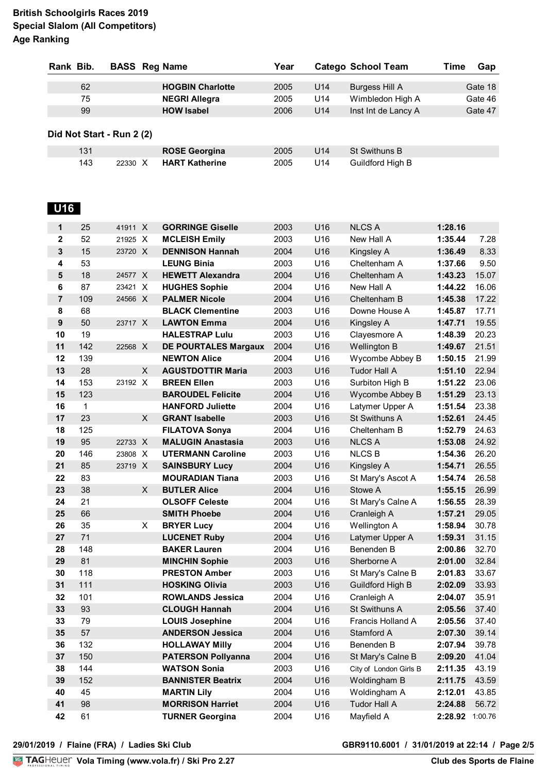| Rank Bib.      |             | <b>BASS</b> Reg Name      |   |                             | Year |     | <b>Catego School Team</b> | <b>Time</b>     | Gap     |
|----------------|-------------|---------------------------|---|-----------------------------|------|-----|---------------------------|-----------------|---------|
|                |             |                           |   |                             |      |     |                           |                 |         |
|                | 62          |                           |   | <b>HOGBIN Charlotte</b>     | 2005 | U14 | <b>Burgess Hill A</b>     |                 | Gate 18 |
|                | 75          |                           |   | <b>NEGRI Allegra</b>        | 2005 | U14 | Wimbledon High A          |                 | Gate 46 |
|                | 99          |                           |   | <b>HOW Isabel</b>           | 2006 | U14 | Inst Int de Lancy A       |                 | Gate 47 |
|                |             | Did Not Start - Run 2 (2) |   |                             |      |     |                           |                 |         |
|                | 131         |                           |   | <b>ROSE Georgina</b>        | 2005 | U14 | <b>St Swithuns B</b>      |                 |         |
|                | 143         | 22330 X                   |   | <b>HART Katherine</b>       | 2005 | U14 | Guildford High B          |                 |         |
| <b>U16</b>     |             |                           |   |                             |      |     |                           |                 |         |
| 1              | 25          | 41911 X                   |   | <b>GORRINGE Giselle</b>     | 2003 | U16 | <b>NLCS A</b>             | 1:28.16         |         |
| $\mathbf{2}$   | 52          | 21925 X                   |   | <b>MCLEISH Emily</b>        | 2003 | U16 | New Hall A                | 1:35.44         | 7.28    |
| 3              | 15          | 23720 X                   |   | <b>DENNISON Hannah</b>      | 2004 | U16 | Kingsley A                | 1:36.49         | 8.33    |
| 4              | 53          |                           |   | <b>LEUNG Binia</b>          | 2003 | U16 | Cheltenham A              | 1:37.66         | 9.50    |
| $5\phantom{1}$ | 18          | 24577 X                   |   | <b>HEWETT Alexandra</b>     | 2004 | U16 | Cheltenham A              | 1:43.23         | 15.07   |
| 6              | 87          | 23421 X                   |   | <b>HUGHES Sophie</b>        | 2004 | U16 | New Hall A                | 1:44.22         | 16.06   |
| $\overline{7}$ | 109         | 24566 X                   |   | <b>PALMER Nicole</b>        | 2004 | U16 | Cheltenham B              | 1:45.38         | 17.22   |
| 8              | 68          |                           |   | <b>BLACK Clementine</b>     | 2003 | U16 | Downe House A             | 1:45.87         | 17.71   |
| 9              | 50          | 23717 X                   |   | <b>LAWTON Emma</b>          | 2004 | U16 | Kingsley A                | 1:47.71         | 19.55   |
| 10             | 19          |                           |   | <b>HALESTRAP Lulu</b>       | 2003 | U16 | Clayesmore A              | 1:48.39         | 20.23   |
| 11             | 142         | 22568 X                   |   | <b>DE POURTALES Margaux</b> | 2004 | U16 | <b>Wellington B</b>       | 1:49.67         | 21.51   |
| 12             | 139         |                           |   | <b>NEWTON Alice</b>         | 2004 | U16 | Wycombe Abbey B           | 1:50.15         | 21.99   |
| 13             | 28          |                           | X | <b>AGUSTDOTTIR Maria</b>    | 2003 | U16 | <b>Tudor Hall A</b>       | 1:51.10         | 22.94   |
| 14             | 153         | 23192 X                   |   | <b>BREEN Ellen</b>          | 2003 | U16 | Surbiton High B           | 1:51.22         | 23.06   |
| 15             | 123         |                           |   | <b>BAROUDEL Felicite</b>    | 2004 | U16 | Wycombe Abbey B           | 1:51.29         | 23.13   |
| 16             | $\mathbf 1$ |                           |   | <b>HANFORD Juliette</b>     | 2004 | U16 | Latymer Upper A           | 1:51.54         | 23.38   |
| 17             | 23          |                           | X | <b>GRANT Isabelle</b>       | 2003 | U16 | St Swithuns A             | 1:52.61         | 24.45   |
| 18             | 125         |                           |   | <b>FILATOVA Sonya</b>       | 2004 | U16 | Cheltenham B              | 1:52.79         | 24.63   |
| 19             | 95          | 22733 X                   |   | <b>MALUGIN Anastasia</b>    | 2003 | U16 | <b>NLCS A</b>             | 1:53.08         | 24.92   |
| 20             | 146         | 23808 X                   |   | <b>UTERMANN Caroline</b>    | 2003 | U16 | <b>NLCSB</b>              | 1:54.36         | 26.20   |
| 21             | 85          | 23719 X                   |   | <b>SAINSBURY Lucy</b>       | 2004 | U16 | Kingsley A                | 1:54.71         | 26.55   |
| 22             | 83          |                           |   | <b>MOURADIAN Tiana</b>      | 2003 | U16 | St Mary's Ascot A         | 1:54.74         | 26.58   |
| 23             | 38          |                           | X | <b>BUTLER Alice</b>         | 2004 | U16 | Stowe A                   | 1:55.15         | 26.99   |
| 24             | 21          |                           |   | <b>OLSOFF Celeste</b>       | 2004 | U16 | St Mary's Calne A         | 1:56.55         | 28.39   |
| 25             | 66          |                           |   | <b>SMITH Phoebe</b>         | 2004 | U16 | Cranleigh A               | 1:57.21         | 29.05   |
| 26             | 35          |                           | X | <b>BRYER Lucy</b>           | 2004 | U16 | Wellington A              | 1:58.94         | 30.78   |
| 27             | 71          |                           |   | <b>LUCENET Ruby</b>         | 2004 | U16 | Latymer Upper A           | 1:59.31         | 31.15   |
| 28             | 148         |                           |   | <b>BAKER Lauren</b>         | 2004 | U16 | Benenden B                | 2:00.86         | 32.70   |
| 29             | 81          |                           |   | <b>MINCHIN Sophie</b>       | 2003 | U16 | Sherborne A               | 2:01.00         | 32.84   |
| 30             | 118         |                           |   | <b>PRESTON Amber</b>        | 2003 | U16 | St Mary's Calne B         | 2:01.83         | 33.67   |
| 31             | 111         |                           |   | <b>HOSKING Olivia</b>       | 2003 | U16 | Guildford High B          | 2:02.09         | 33.93   |
| 32             | 101         |                           |   | <b>ROWLANDS Jessica</b>     | 2004 | U16 | Cranleigh A               | 2:04.07         | 35.91   |
| 33             | 93          |                           |   | <b>CLOUGH Hannah</b>        | 2004 | U16 | St Swithuns A             | 2:05.56         | 37.40   |
| 33             | 79          |                           |   | <b>LOUIS Josephine</b>      | 2004 | U16 | Francis Holland A         | 2:05.56         | 37.40   |
| 35             | 57          |                           |   | <b>ANDERSON Jessica</b>     | 2004 | U16 | Stamford A                | 2:07.30         | 39.14   |
| 36             | 132         |                           |   | <b>HOLLAWAY Milly</b>       | 2004 | U16 | Benenden B                | 2:07.94         | 39.78   |
| 37             | 150         |                           |   | <b>PATERSON Pollyanna</b>   | 2004 | U16 | St Mary's Calne B         | 2:09.20         | 41.04   |
| 38             | 144         |                           |   | <b>WATSON Sonia</b>         | 2003 | U16 | City of London Girls B    | 2:11.35         | 43.19   |
| 39             | 152         |                           |   | <b>BANNISTER Beatrix</b>    | 2004 | U16 | Woldingham B              | 2:11.75         | 43.59   |
| 40             | 45          |                           |   | <b>MARTIN Lily</b>          | 2004 | U16 | Woldingham A              | 2:12.01         | 43.85   |
| 41             | 98          |                           |   | <b>MORRISON Harriet</b>     | 2004 | U16 | <b>Tudor Hall A</b>       | 2:24.88         | 56.72   |
| 42             | 61          |                           |   | <b>TURNER Georgina</b>      | 2004 | U16 | Mayfield A                | 2:28.92 1:00.76 |         |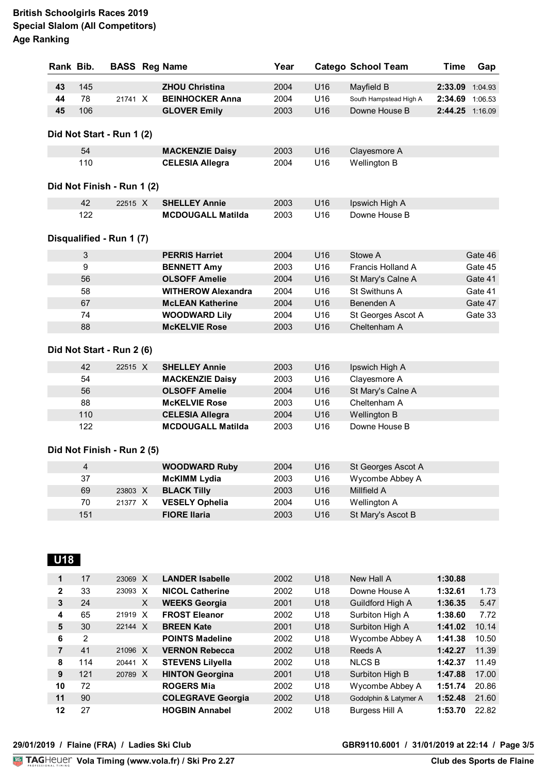| Rank Bib. |     |                            | <b>BASS Reg Name</b>      | Year |     | <b>Catego School Team</b> | <b>Time</b>     | Gap     |
|-----------|-----|----------------------------|---------------------------|------|-----|---------------------------|-----------------|---------|
| 43        | 145 |                            | <b>ZHOU Christina</b>     | 2004 | U16 | Mayfield B                | 2:33.09 1:04.93 |         |
| 44        | 78  | 21741 X                    | <b>BEINHOCKER Anna</b>    | 2004 | U16 | South Hampstead High A    | 2:34.69         | 1:06.53 |
| 45        | 106 |                            | <b>GLOVER Emily</b>       | 2003 | U16 | Downe House B             | 2:44.25 1:16.09 |         |
|           |     | Did Not Start - Run 1 (2)  |                           |      |     |                           |                 |         |
|           | 54  |                            | <b>MACKENZIE Daisy</b>    | 2003 | U16 | Clayesmore A              |                 |         |
|           | 110 |                            | <b>CELESIA Allegra</b>    | 2004 | U16 | Wellington B              |                 |         |
|           |     | Did Not Finish - Run 1 (2) |                           |      |     |                           |                 |         |
|           |     |                            |                           |      |     |                           |                 |         |
|           | 42  | 22515 X                    | <b>SHELLEY Annie</b>      | 2003 | U16 | Ipswich High A            |                 |         |
|           | 122 |                            | <b>MCDOUGALL Matilda</b>  | 2003 | U16 | Downe House B             |                 |         |
|           |     | Disqualified - Run 1 (7)   |                           |      |     |                           |                 |         |
|           | 3   |                            | <b>PERRIS Harriet</b>     | 2004 | U16 | Stowe A                   |                 | Gate 46 |
|           | 9   |                            | <b>BENNETT Amy</b>        | 2003 | U16 | Francis Holland A         |                 | Gate 45 |
|           | 56  |                            | <b>OLSOFF Amelie</b>      | 2004 | U16 | St Mary's Calne A         |                 | Gate 41 |
|           | 58  |                            | <b>WITHEROW Alexandra</b> | 2004 | U16 | St Swithuns A             |                 | Gate 41 |
|           | 67  |                            | <b>McLEAN Katherine</b>   | 2004 | U16 | Benenden A                |                 | Gate 47 |
|           | 74  |                            | <b>WOODWARD Lily</b>      | 2004 | U16 | St Georges Ascot A        |                 | Gate 33 |
|           | 88  |                            | <b>McKELVIE Rose</b>      | 2003 | U16 | Cheltenham A              |                 |         |
|           |     | Did Not Start - Run 2 (6)  |                           |      |     |                           |                 |         |
|           | 42  | 22515 X                    | <b>SHELLEY Annie</b>      | 2003 | U16 | Ipswich High A            |                 |         |
|           | 54  |                            | <b>MACKENZIE Daisy</b>    | 2003 | U16 | Clayesmore A              |                 |         |
|           | 56  |                            | <b>OLSOFF Amelie</b>      | 2004 | U16 | St Mary's Calne A         |                 |         |
|           | 88  |                            | <b>McKELVIE Rose</b>      | 2003 | U16 | Cheltenham A              |                 |         |
|           | 110 |                            | <b>CELESIA Allegra</b>    | 2004 | U16 | Wellington B              |                 |         |
|           | 122 |                            | <b>MCDOUGALL Matilda</b>  | 2003 | U16 | Downe House B             |                 |         |
|           |     | Did Not Finish - Run 2 (5) |                           |      |     |                           |                 |         |
|           | 4   |                            | <b>WOODWARD Ruby</b>      | 2004 | U16 | St Georges Ascot A        |                 |         |
|           | 37  |                            | <b>McKIMM Lydia</b>       | 2003 | U16 | Wycombe Abbey A           |                 |         |
|           | 69  | 23803 X                    | <b>BLACK Tilly</b>        | 2003 | U16 | Millfield A               |                 |         |
|           | 70  | 21377 X                    | <b>VESELY Ophelia</b>     | 2004 | U16 | Wellington A              |                 |         |
|           | 151 |                            | <b>FIORE Ilaria</b>       | 2003 | U16 | St Mary's Ascot B         |                 |         |

| 1            | 17  | 23069 X | <b>LANDER Isabelle</b>   | 2002 | U <sub>18</sub> | New Hall A            | 1:30.88 |       |
|--------------|-----|---------|--------------------------|------|-----------------|-----------------------|---------|-------|
| $\mathbf{2}$ | 33  | 23093 X | <b>NICOL Catherine</b>   | 2002 | U18             | Downe House A         | 1:32.61 | 1.73  |
| 3            | 24  | X       | <b>WEEKS Georgia</b>     | 2001 | U <sub>18</sub> | Guildford High A      | 1:36.35 | 5.47  |
| 4            | 65  | 21919 X | <b>FROST Eleanor</b>     | 2002 | U18             | Surbiton High A       | 1:38.60 | 7.72  |
| 5            | 30  | 22144 X | <b>BREEN Kate</b>        | 2001 | U <sub>18</sub> | Surbiton High A       | 1:41.02 | 10.14 |
| 6            | 2   |         | <b>POINTS Madeline</b>   | 2002 | U18             | Wycombe Abbey A       | 1:41.38 | 10.50 |
| 7            | 41  | 21096 X | <b>VERNON Rebecca</b>    | 2002 | U18             | Reeds A               | 1:42.27 | 11.39 |
| 8            | 114 | 20441 X | <b>STEVENS Lilyella</b>  | 2002 | U <sub>18</sub> | <b>NLCS B</b>         | 1:42.37 | 11.49 |
| 9            | 121 | 20789 X | <b>HINTON Georgina</b>   | 2001 | U <sub>18</sub> | Surbiton High B       | 1:47.88 | 17.00 |
| 10           | 72  |         | <b>ROGERS Mia</b>        | 2002 | U <sub>18</sub> | Wycombe Abbey A       | 1:51.74 | 20.86 |
| 11           | 90  |         | <b>COLEGRAVE Georgia</b> | 2002 | U <sub>18</sub> | Godolphin & Latymer A | 1:52.48 | 21.60 |
| 12           | 27  |         | <b>HOGBIN Annabel</b>    | 2002 | U <sub>18</sub> | Burgess Hill A        | 1:53.70 | 22.82 |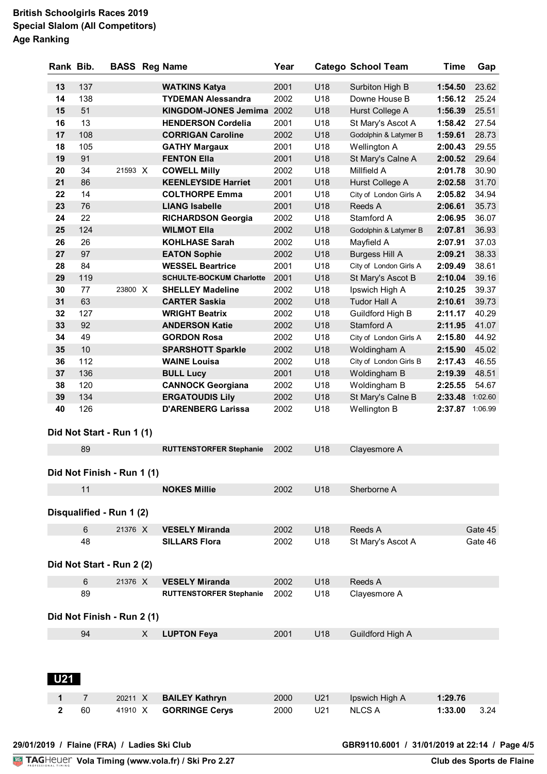| Rank Bib.    |                            | <b>BASS</b> Reg Name |   |                                 | Year |     | <b>Catego School Team</b> | <b>Time</b>     | Gap     |
|--------------|----------------------------|----------------------|---|---------------------------------|------|-----|---------------------------|-----------------|---------|
| 13           | 137                        |                      |   | <b>WATKINS Katya</b>            | 2001 | U18 | Surbiton High B           | 1:54.50         | 23.62   |
| 14           | 138                        |                      |   | <b>TYDEMAN Alessandra</b>       | 2002 | U18 | Downe House B             | 1:56.12         | 25.24   |
| 15           | 51                         |                      |   | <b>KINGDOM-JONES Jemima</b>     | 2002 | U18 | Hurst College A           | 1:56.39         | 25.51   |
| 16           | 13                         |                      |   | <b>HENDERSON Cordelia</b>       | 2001 | U18 | St Mary's Ascot A         | 1:58.42         | 27.54   |
| 17           | 108                        |                      |   | <b>CORRIGAN Caroline</b>        | 2002 | U18 | Godolphin & Latymer B     | 1:59.61         | 28.73   |
| 18           | 105                        |                      |   | <b>GATHY Margaux</b>            | 2001 | U18 | Wellington A              | 2:00.43         | 29.55   |
| 19           | 91                         |                      |   | <b>FENTON Ella</b>              | 2001 | U18 | St Mary's Calne A         | 2:00.52         | 29.64   |
| 20           | 34                         | 21593 X              |   | <b>COWELL Milly</b>             | 2002 | U18 | Millfield A               | 2:01.78         | 30.90   |
| 21           | 86                         |                      |   | <b>KEENLEYSIDE Harriet</b>      | 2001 | U18 | Hurst College A           | 2:02.58         | 31.70   |
| 22           | 14                         |                      |   | <b>COLTHORPE Emma</b>           | 2001 | U18 | City of London Girls A    | 2:05.82         | 34.94   |
| 23           | 76                         |                      |   | <b>LIANG Isabelle</b>           | 2001 | U18 | Reeds A                   | 2:06.61         | 35.73   |
| 24           | 22                         |                      |   | <b>RICHARDSON Georgia</b>       | 2002 | U18 | Stamford A                | 2:06.95         | 36.07   |
| 25           | 124                        |                      |   | <b>WILMOT Ella</b>              | 2002 | U18 | Godolphin & Latymer B     | 2:07.81         | 36.93   |
| 26           | 26                         |                      |   | <b>KOHLHASE Sarah</b>           | 2002 | U18 | Mayfield A                | 2:07.91         | 37.03   |
| 27           | 97                         |                      |   | <b>EATON Sophie</b>             | 2002 | U18 | <b>Burgess Hill A</b>     | 2:09.21         | 38.33   |
| 28           | 84                         |                      |   | <b>WESSEL Beartrice</b>         | 2001 | U18 | City of London Girls A    | 2:09.49         | 38.61   |
| 29           | 119                        |                      |   | <b>SCHULTE-BOCKUM Charlotte</b> | 2001 | U18 | St Mary's Ascot B         | 2:10.04         | 39.16   |
| 30           | 77                         | 23800 X              |   | <b>SHELLEY Madeline</b>         | 2002 | U18 | Ipswich High A            | 2:10.25         | 39.37   |
| 31           | 63                         |                      |   | <b>CARTER Saskia</b>            | 2002 | U18 | <b>Tudor Hall A</b>       | 2:10.61         | 39.73   |
| 32           | 127                        |                      |   | <b>WRIGHT Beatrix</b>           | 2002 | U18 | Guildford High B          | 2:11.17         | 40.29   |
| 33           | 92                         |                      |   | <b>ANDERSON Katie</b>           | 2002 | U18 | Stamford A                | 2:11.95         | 41.07   |
| 34           | 49                         |                      |   | <b>GORDON Rosa</b>              | 2002 | U18 | City of London Girls A    | 2:15.80         | 44.92   |
| 35           | 10                         |                      |   | <b>SPARSHOTT Sparkle</b>        | 2002 | U18 | Woldingham A              | 2:15.90         | 45.02   |
| 36           | 112                        |                      |   | <b>WAINE Louisa</b>             | 2002 | U18 | City of London Girls B    | 2:17.43         | 46.55   |
| 37           | 136                        |                      |   | <b>BULL Lucy</b>                | 2001 | U18 | Woldingham B              | 2:19.39         | 48.51   |
| 38           | 120                        |                      |   | <b>CANNOCK Georgiana</b>        | 2002 | U18 | Woldingham B              | 2:25.55         | 54.67   |
| 39           | 134                        |                      |   | <b>ERGATOUDIS Lily</b>          | 2002 | U18 | St Mary's Calne B         | 2:33.48 1:02.60 |         |
| 40           | 126                        |                      |   | <b>D'ARENBERG Larissa</b>       | 2002 | U18 | Wellington B              | 2:37.87 1:06.99 |         |
|              | Did Not Start - Run 1 (1)  |                      |   |                                 |      |     |                           |                 |         |
|              | 89                         |                      |   | <b>RUTTENSTORFER Stephanie</b>  | 2002 | U18 | Clayesmore A              |                 |         |
|              |                            |                      |   |                                 |      |     |                           |                 |         |
|              | Did Not Finish - Run 1 (1) |                      |   |                                 |      |     |                           |                 |         |
|              | 11                         |                      |   | <b>NOKES Millie</b>             | 2002 | U18 | Sherborne A               |                 |         |
|              | Disqualified - Run 1 (2)   |                      |   |                                 |      |     |                           |                 |         |
|              | $6\phantom{1}$             | 21376 X              |   | <b>VESELY Miranda</b>           | 2002 | U18 | Reeds A                   |                 | Gate 45 |
|              | 48                         |                      |   | <b>SILLARS Flora</b>            | 2002 | U18 | St Mary's Ascot A         |                 | Gate 46 |
|              |                            |                      |   |                                 |      |     |                           |                 |         |
|              | Did Not Start - Run 2 (2)  |                      |   |                                 |      |     |                           |                 |         |
|              | 6                          | 21376 X              |   | <b>VESELY Miranda</b>           | 2002 | U18 | Reeds A                   |                 |         |
|              | 89                         |                      |   | <b>RUTTENSTORFER Stephanie</b>  | 2002 | U18 | Clayesmore A              |                 |         |
|              | Did Not Finish - Run 2 (1) |                      |   |                                 |      |     |                           |                 |         |
|              |                            |                      |   |                                 |      |     |                           |                 |         |
|              | 94                         |                      | X | <b>LUPTON Feya</b>              | 2001 | U18 | Guildford High A          |                 |         |
| <b>U21</b>   |                            |                      |   |                                 |      |     |                           |                 |         |
|              |                            |                      |   |                                 |      |     |                           |                 |         |
| 1            | $\overline{7}$             | 20211 X              |   | <b>BAILEY Kathryn</b>           | 2000 | U21 | Ipswich High A            | 1:29.76         |         |
| $\mathbf{2}$ | 60                         | 41910 X              |   | <b>GORRINGE Cerys</b>           | 2000 | U21 | <b>NLCS A</b>             | 1:33.00         | 3.24    |